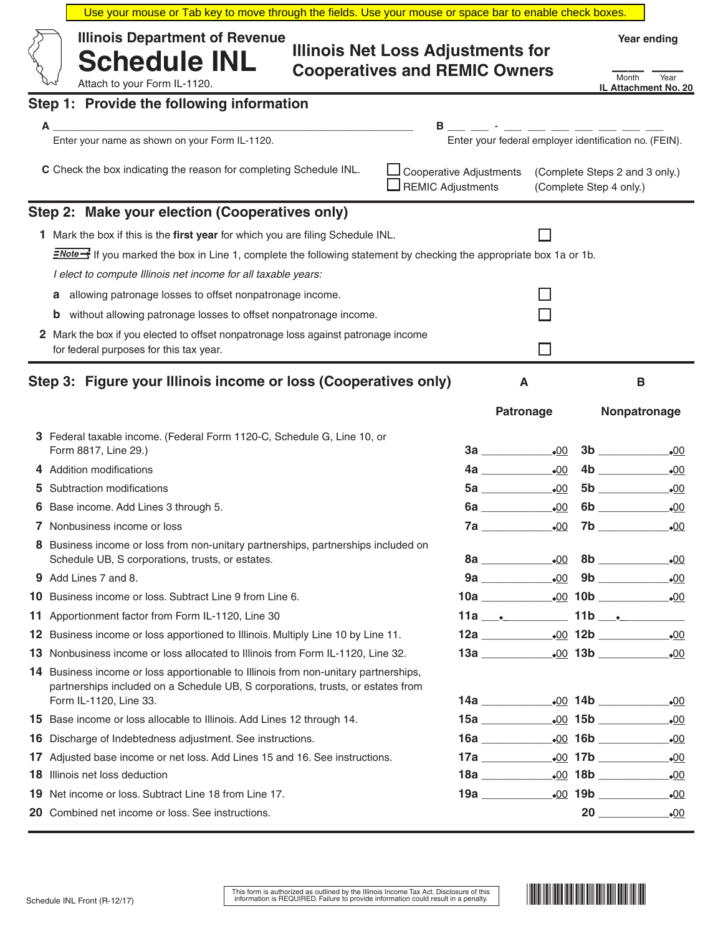|     | Use your mouse or Tab key to move through the fields. Use your mouse or space bar to enable check boxes.                                                                                                                                                                                                                                                                                                                                                                                                                                                              |                                                                                  |                                                             |  |                                                           |
|-----|-----------------------------------------------------------------------------------------------------------------------------------------------------------------------------------------------------------------------------------------------------------------------------------------------------------------------------------------------------------------------------------------------------------------------------------------------------------------------------------------------------------------------------------------------------------------------|----------------------------------------------------------------------------------|-------------------------------------------------------------|--|-----------------------------------------------------------|
|     | <b>Illinois Department of Revenue</b><br><b>Schedule INL</b><br>Attach to your Form IL-1120.                                                                                                                                                                                                                                                                                                                                                                                                                                                                          | <b>Illinois Net Loss Adjustments for</b><br><b>Cooperatives and REMIC Owners</b> |                                                             |  | Year ending<br>Month<br>Year<br>IL Attachment No. 20      |
|     | Step 1: Provide the following information                                                                                                                                                                                                                                                                                                                                                                                                                                                                                                                             |                                                                                  |                                                             |  |                                                           |
|     | А                                                                                                                                                                                                                                                                                                                                                                                                                                                                                                                                                                     | В                                                                                |                                                             |  |                                                           |
|     | Enter your name as shown on your Form IL-1120.                                                                                                                                                                                                                                                                                                                                                                                                                                                                                                                        |                                                                                  | Enter your federal employer identification no. (FEIN).      |  |                                                           |
|     | C Check the box indicating the reason for completing Schedule INL.                                                                                                                                                                                                                                                                                                                                                                                                                                                                                                    | <b>Cooperative Adjustments</b><br><b>REMIC Adjustments</b>                       |                                                             |  | (Complete Steps 2 and 3 only.)<br>(Complete Step 4 only.) |
|     | Step 2: Make your election (Cooperatives only)                                                                                                                                                                                                                                                                                                                                                                                                                                                                                                                        |                                                                                  |                                                             |  |                                                           |
| 1.  | Mark the box if this is the first year for which you are filing Schedule INL.<br>$\exists$ Mote $\rightarrow$ If you marked the box in Line 1, complete the following statement by checking the appropriate box 1a or 1b.<br>I elect to compute Illinois net income for all taxable years:<br>allowing patronage losses to offset nonpatronage income.<br>a<br>without allowing patronage losses to offset nonpatronage income.<br>b<br>2 Mark the box if you elected to offset nonpatronage loss against patronage income<br>for federal purposes for this tax year. |                                                                                  |                                                             |  |                                                           |
|     | Step 3: Figure your Illinois income or loss (Cooperatives only)                                                                                                                                                                                                                                                                                                                                                                                                                                                                                                       |                                                                                  | Α<br><b>Patronage</b>                                       |  | В<br>Nonpatronage                                         |
|     | 3 Federal taxable income. (Federal Form 1120-C, Schedule G, Line 10, or<br>Form 8817, Line 29.)                                                                                                                                                                                                                                                                                                                                                                                                                                                                       |                                                                                  | $3a$ $\frac{.00}{.00}$                                      |  | 3b<br>$\bullet$ 00                                        |
|     | 4 Addition modifications                                                                                                                                                                                                                                                                                                                                                                                                                                                                                                                                              |                                                                                  | 00                                                          |  | 4b<br>$\bullet$ 00                                        |
|     | Subtraction modifications                                                                                                                                                                                                                                                                                                                                                                                                                                                                                                                                             |                                                                                  |                                                             |  | $\bullet$ 00                                              |
|     | Base income. Add Lines 3 through 5.                                                                                                                                                                                                                                                                                                                                                                                                                                                                                                                                   |                                                                                  | 6a<br>$-00$                                                 |  | 6b<br>$\bullet$ 00                                        |
|     | 7 Nonbusiness income or loss                                                                                                                                                                                                                                                                                                                                                                                                                                                                                                                                          |                                                                                  | 7a<br>.00                                                   |  | $-00$                                                     |
|     | 8 Business income or loss from non-unitary partnerships, partnerships included on<br>Schedule UB, S corporations, trusts, or estates.                                                                                                                                                                                                                                                                                                                                                                                                                                 |                                                                                  |                                                             |  | $\bullet$ 00                                              |
|     | <b>9</b> Add Lines 7 and 8.                                                                                                                                                                                                                                                                                                                                                                                                                                                                                                                                           |                                                                                  |                                                             |  | $\bullet$ 00                                              |
| 10. | Business income or loss. Subtract Line 9 from Line 6.                                                                                                                                                                                                                                                                                                                                                                                                                                                                                                                 |                                                                                  |                                                             |  |                                                           |
| 11. | Apportionment factor from Form IL-1120, Line 30                                                                                                                                                                                                                                                                                                                                                                                                                                                                                                                       |                                                                                  | $11a$ $\qquad \qquad$ $\qquad \qquad$ $11b$ $\qquad \qquad$ |  |                                                           |
| 12  | Business income or loss apportioned to Illinois. Multiply Line 10 by Line 11.                                                                                                                                                                                                                                                                                                                                                                                                                                                                                         |                                                                                  |                                                             |  | $-00$                                                     |
| 13  | Nonbusiness income or loss allocated to Illinois from Form IL-1120, Line 32.                                                                                                                                                                                                                                                                                                                                                                                                                                                                                          |                                                                                  |                                                             |  |                                                           |
|     | <b>14</b> Business income or loss apportionable to Illinois from non-unitary partnerships,<br>partnerships included on a Schedule UB, S corporations, trusts, or estates from<br>Form IL-1120, Line 33.                                                                                                                                                                                                                                                                                                                                                               |                                                                                  |                                                             |  | $\bullet$ 00                                              |
|     | 15 Base income or loss allocable to Illinois. Add Lines 12 through 14.                                                                                                                                                                                                                                                                                                                                                                                                                                                                                                |                                                                                  |                                                             |  | $\bullet$ 00                                              |
| 16  | Discharge of Indebtedness adjustment. See instructions.                                                                                                                                                                                                                                                                                                                                                                                                                                                                                                               |                                                                                  |                                                             |  |                                                           |
| 17  | Adjusted base income or net loss. Add Lines 15 and 16. See instructions.                                                                                                                                                                                                                                                                                                                                                                                                                                                                                              |                                                                                  |                                                             |  |                                                           |
| 18  | Illinois net loss deduction                                                                                                                                                                                                                                                                                                                                                                                                                                                                                                                                           |                                                                                  |                                                             |  |                                                           |
| 19  | Net income or loss. Subtract Line 18 from Line 17.                                                                                                                                                                                                                                                                                                                                                                                                                                                                                                                    |                                                                                  |                                                             |  |                                                           |
|     | 20 Combined net income or loss. See instructions.                                                                                                                                                                                                                                                                                                                                                                                                                                                                                                                     |                                                                                  |                                                             |  | $20$ $\overline{\phantom{a}}$<br>$\bullet$ 00             |